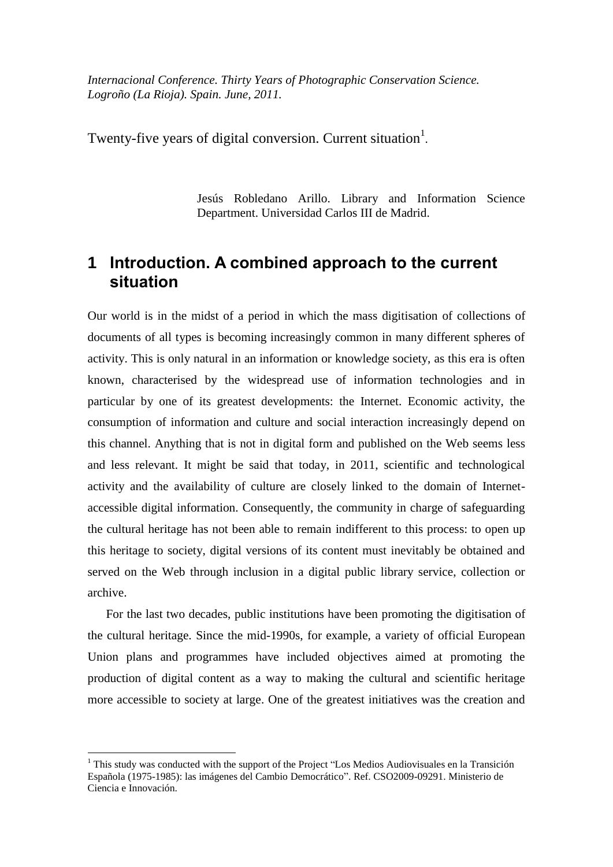*Internacional Conference. Thirty Years of Photographic Conservation Science. Logroño (La Rioja). Spain. June, 2011.*

Twenty-five years of digital conversion. Current situation $<sup>1</sup>$ .</sup>

Jesús Robledano Arillo. Library and Information Science Department. Universidad Carlos III de Madrid.

### **1 Introduction. A combined approach to the current situation**

Our world is in the midst of a period in which the mass digitisation of collections of documents of all types is becoming increasingly common in many different spheres of activity. This is only natural in an information or knowledge society, as this era is often known, characterised by the widespread use of information technologies and in particular by one of its greatest developments: the Internet. Economic activity, the consumption of information and culture and social interaction increasingly depend on this channel. Anything that is not in digital form and published on the Web seems less and less relevant. It might be said that today, in 2011, scientific and technological activity and the availability of culture are closely linked to the domain of Internetaccessible digital information. Consequently, the community in charge of safeguarding the cultural heritage has not been able to remain indifferent to this process: to open up this heritage to society, digital versions of its content must inevitably be obtained and served on the Web through inclusion in a digital public library service, collection or archive.

For the last two decades, public institutions have been promoting the digitisation of the cultural heritage. Since the mid-1990s, for example, a variety of official European Union plans and programmes have included objectives aimed at promoting the production of digital content as a way to making the cultural and scientific heritage more accessible to society at large. One of the greatest initiatives was the creation and

1

<sup>&</sup>lt;sup>1</sup> This study was conducted with the support of the Project "Los Medios Audiovisuales en la Transición Española (1975-1985): las imágenes del Cambio Democrático". Ref. CSO2009-09291. Ministerio de Ciencia e Innovación.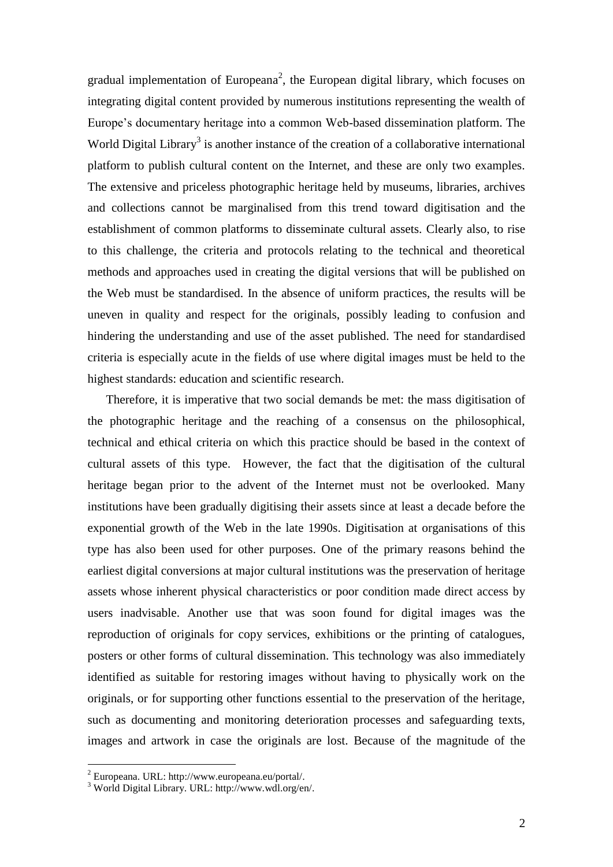gradual implementation of Europeana<sup>2</sup>, the European digital library, which focuses on integrating digital content provided by numerous institutions representing the wealth of Europe's documentary heritage into a common Web-based dissemination platform. The World Digital Library<sup>3</sup> is another instance of the creation of a collaborative international platform to publish cultural content on the Internet, and these are only two examples. The extensive and priceless photographic heritage held by museums, libraries, archives and collections cannot be marginalised from this trend toward digitisation and the establishment of common platforms to disseminate cultural assets. Clearly also, to rise to this challenge, the criteria and protocols relating to the technical and theoretical methods and approaches used in creating the digital versions that will be published on the Web must be standardised. In the absence of uniform practices, the results will be uneven in quality and respect for the originals, possibly leading to confusion and hindering the understanding and use of the asset published. The need for standardised criteria is especially acute in the fields of use where digital images must be held to the highest standards: education and scientific research.

Therefore, it is imperative that two social demands be met: the mass digitisation of the photographic heritage and the reaching of a consensus on the philosophical, technical and ethical criteria on which this practice should be based in the context of cultural assets of this type. However, the fact that the digitisation of the cultural heritage began prior to the advent of the Internet must not be overlooked. Many institutions have been gradually digitising their assets since at least a decade before the exponential growth of the Web in the late 1990s. Digitisation at organisations of this type has also been used for other purposes. One of the primary reasons behind the earliest digital conversions at major cultural institutions was the preservation of heritage assets whose inherent physical characteristics or poor condition made direct access by users inadvisable. Another use that was soon found for digital images was the reproduction of originals for copy services, exhibitions or the printing of catalogues, posters or other forms of cultural dissemination. This technology was also immediately identified as suitable for restoring images without having to physically work on the originals, or for supporting other functions essential to the preservation of the heritage, such as documenting and monitoring deterioration processes and safeguarding texts, images and artwork in case the originals are lost. Because of the magnitude of the

<u>.</u>

<sup>2</sup> Europeana. URL: http://www.europeana.eu/portal/.

<sup>3</sup> World Digital Library. URL: http://www.wdl.org/en/.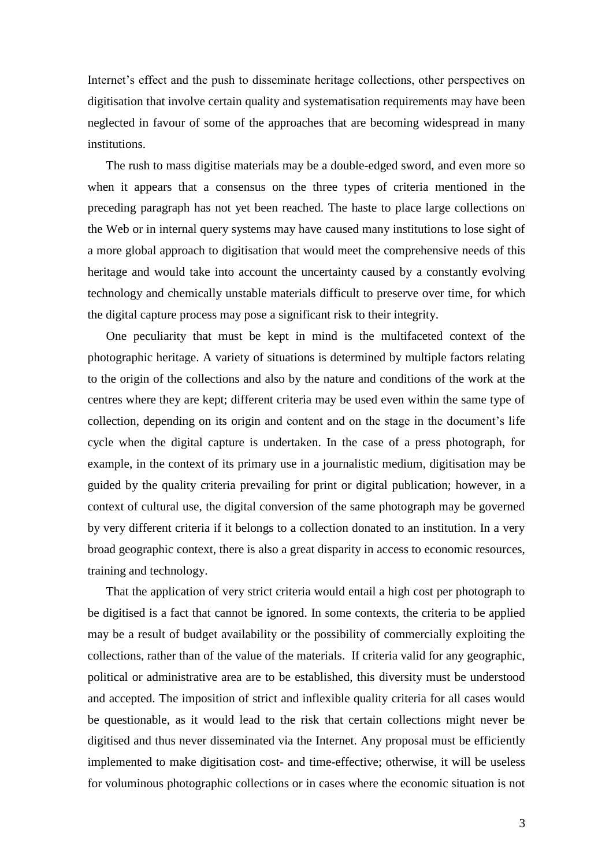Internet's effect and the push to disseminate heritage collections, other perspectives on digitisation that involve certain quality and systematisation requirements may have been neglected in favour of some of the approaches that are becoming widespread in many institutions.

The rush to mass digitise materials may be a double-edged sword, and even more so when it appears that a consensus on the three types of criteria mentioned in the preceding paragraph has not yet been reached. The haste to place large collections on the Web or in internal query systems may have caused many institutions to lose sight of a more global approach to digitisation that would meet the comprehensive needs of this heritage and would take into account the uncertainty caused by a constantly evolving technology and chemically unstable materials difficult to preserve over time, for which the digital capture process may pose a significant risk to their integrity.

One peculiarity that must be kept in mind is the multifaceted context of the photographic heritage. A variety of situations is determined by multiple factors relating to the origin of the collections and also by the nature and conditions of the work at the centres where they are kept; different criteria may be used even within the same type of collection, depending on its origin and content and on the stage in the document's life cycle when the digital capture is undertaken. In the case of a press photograph, for example, in the context of its primary use in a journalistic medium, digitisation may be guided by the quality criteria prevailing for print or digital publication; however, in a context of cultural use, the digital conversion of the same photograph may be governed by very different criteria if it belongs to a collection donated to an institution. In a very broad geographic context, there is also a great disparity in access to economic resources, training and technology.

That the application of very strict criteria would entail a high cost per photograph to be digitised is a fact that cannot be ignored. In some contexts, the criteria to be applied may be a result of budget availability or the possibility of commercially exploiting the collections, rather than of the value of the materials. If criteria valid for any geographic, political or administrative area are to be established, this diversity must be understood and accepted. The imposition of strict and inflexible quality criteria for all cases would be questionable, as it would lead to the risk that certain collections might never be digitised and thus never disseminated via the Internet. Any proposal must be efficiently implemented to make digitisation cost- and time-effective; otherwise, it will be useless for voluminous photographic collections or in cases where the economic situation is not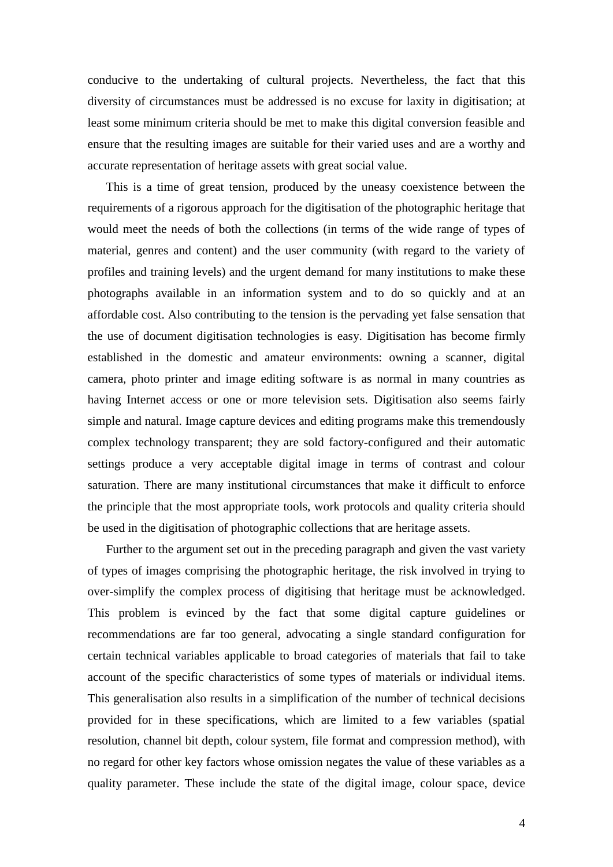conducive to the undertaking of cultural projects. Nevertheless, the fact that this diversity of circumstances must be addressed is no excuse for laxity in digitisation; at least some minimum criteria should be met to make this digital conversion feasible and ensure that the resulting images are suitable for their varied uses and are a worthy and accurate representation of heritage assets with great social value.

This is a time of great tension, produced by the uneasy coexistence between the requirements of a rigorous approach for the digitisation of the photographic heritage that would meet the needs of both the collections (in terms of the wide range of types of material, genres and content) and the user community (with regard to the variety of profiles and training levels) and the urgent demand for many institutions to make these photographs available in an information system and to do so quickly and at an affordable cost. Also contributing to the tension is the pervading yet false sensation that the use of document digitisation technologies is easy. Digitisation has become firmly established in the domestic and amateur environments: owning a scanner, digital camera, photo printer and image editing software is as normal in many countries as having Internet access or one or more television sets. Digitisation also seems fairly simple and natural. Image capture devices and editing programs make this tremendously complex technology transparent; they are sold factory-configured and their automatic settings produce a very acceptable digital image in terms of contrast and colour saturation. There are many institutional circumstances that make it difficult to enforce the principle that the most appropriate tools, work protocols and quality criteria should be used in the digitisation of photographic collections that are heritage assets.

Further to the argument set out in the preceding paragraph and given the vast variety of types of images comprising the photographic heritage, the risk involved in trying to over-simplify the complex process of digitising that heritage must be acknowledged. This problem is evinced by the fact that some digital capture guidelines or recommendations are far too general, advocating a single standard configuration for certain technical variables applicable to broad categories of materials that fail to take account of the specific characteristics of some types of materials or individual items. This generalisation also results in a simplification of the number of technical decisions provided for in these specifications, which are limited to a few variables (spatial resolution, channel bit depth, colour system, file format and compression method), with no regard for other key factors whose omission negates the value of these variables as a quality parameter. These include the state of the digital image, colour space, device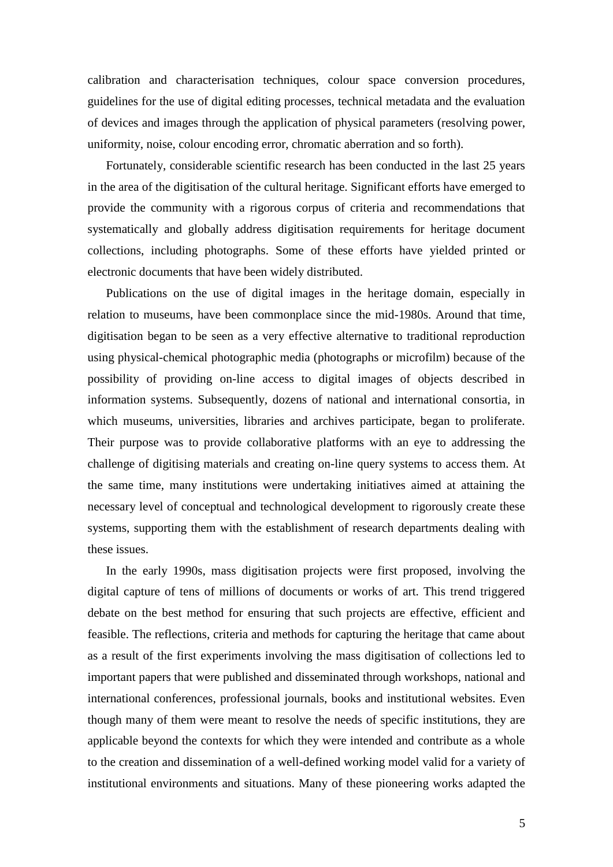calibration and characterisation techniques, colour space conversion procedures, guidelines for the use of digital editing processes, technical metadata and the evaluation of devices and images through the application of physical parameters (resolving power, uniformity, noise, colour encoding error, chromatic aberration and so forth).

Fortunately, considerable scientific research has been conducted in the last 25 years in the area of the digitisation of the cultural heritage. Significant efforts have emerged to provide the community with a rigorous corpus of criteria and recommendations that systematically and globally address digitisation requirements for heritage document collections, including photographs. Some of these efforts have yielded printed or electronic documents that have been widely distributed.

Publications on the use of digital images in the heritage domain, especially in relation to museums, have been commonplace since the mid-1980s. Around that time, digitisation began to be seen as a very effective alternative to traditional reproduction using physical-chemical photographic media (photographs or microfilm) because of the possibility of providing on-line access to digital images of objects described in information systems. Subsequently, dozens of national and international consortia, in which museums, universities, libraries and archives participate, began to proliferate. Their purpose was to provide collaborative platforms with an eye to addressing the challenge of digitising materials and creating on-line query systems to access them. At the same time, many institutions were undertaking initiatives aimed at attaining the necessary level of conceptual and technological development to rigorously create these systems, supporting them with the establishment of research departments dealing with these issues.

In the early 1990s, mass digitisation projects were first proposed, involving the digital capture of tens of millions of documents or works of art. This trend triggered debate on the best method for ensuring that such projects are effective, efficient and feasible. The reflections, criteria and methods for capturing the heritage that came about as a result of the first experiments involving the mass digitisation of collections led to important papers that were published and disseminated through workshops, national and international conferences, professional journals, books and institutional websites. Even though many of them were meant to resolve the needs of specific institutions, they are applicable beyond the contexts for which they were intended and contribute as a whole to the creation and dissemination of a well-defined working model valid for a variety of institutional environments and situations. Many of these pioneering works adapted the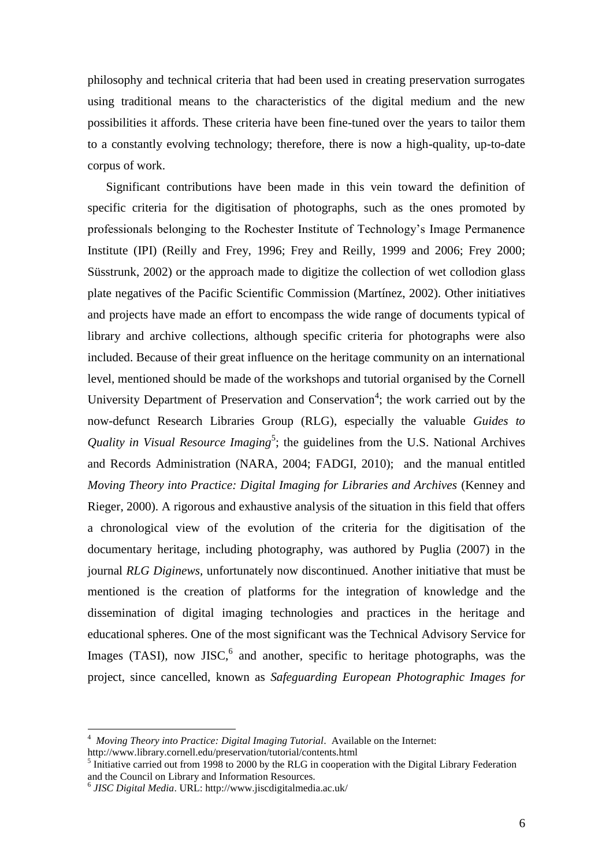philosophy and technical criteria that had been used in creating preservation surrogates using traditional means to the characteristics of the digital medium and the new possibilities it affords. These criteria have been fine-tuned over the years to tailor them to a constantly evolving technology; therefore, there is now a high-quality, up-to-date corpus of work.

Significant contributions have been made in this vein toward the definition of specific criteria for the digitisation of photographs, such as the ones promoted by professionals belonging to the Rochester Institute of Technology's Image Permanence Institute (IPI) (Reilly and Frey, 1996; Frey and Reilly, 1999 and 2006; Frey 2000; Süsstrunk, 2002) or the approach made to digitize the collection of wet collodion glass plate negatives of the Pacific Scientific Commission (Martínez, 2002). Other initiatives and projects have made an effort to encompass the wide range of documents typical of library and archive collections, although specific criteria for photographs were also included. Because of their great influence on the heritage community on an international level, mentioned should be made of the workshops and tutorial organised by the Cornell University Department of Preservation and Conservation<sup>4</sup>; the work carried out by the now-defunct Research Libraries Group (RLG), especially the valuable *Guides to*  Quality in Visual Resource Imaging<sup>5</sup>; the guidelines from the U.S. National Archives and Records Administration (NARA, 2004; FADGI, 2010); and the manual entitled *Moving Theory into Practice: Digital Imaging for Libraries and Archives* (Kenney and Rieger, 2000). A rigorous and exhaustive analysis of the situation in this field that offers a chronological view of the evolution of the criteria for the digitisation of the documentary heritage, including photography, was authored by Puglia (2007) in the journal *RLG Diginews,* unfortunately now discontinued. Another initiative that must be mentioned is the creation of platforms for the integration of knowledge and the dissemination of digital imaging technologies and practices in the heritage and educational spheres. One of the most significant was the Technical Advisory Service for Images (TASI), now JISC, $6$  and another, specific to heritage photographs, was the project, since cancelled, known as *Safeguarding European Photographic Images for* 

<u>.</u>

<sup>4</sup> *Moving Theory into Practice: Digital Imaging Tutorial*. Available on the Internet: http://www.library.cornell.edu/preservation/tutorial/contents.html

<sup>&</sup>lt;sup>5</sup> Initiative carried out from 1998 to 2000 by the RLG in cooperation with the Digital Library Federation and the Council on Library and Information Resources.

<sup>6</sup> *JISC Digital Media*. URL: http://www.jiscdigitalmedia.ac.uk/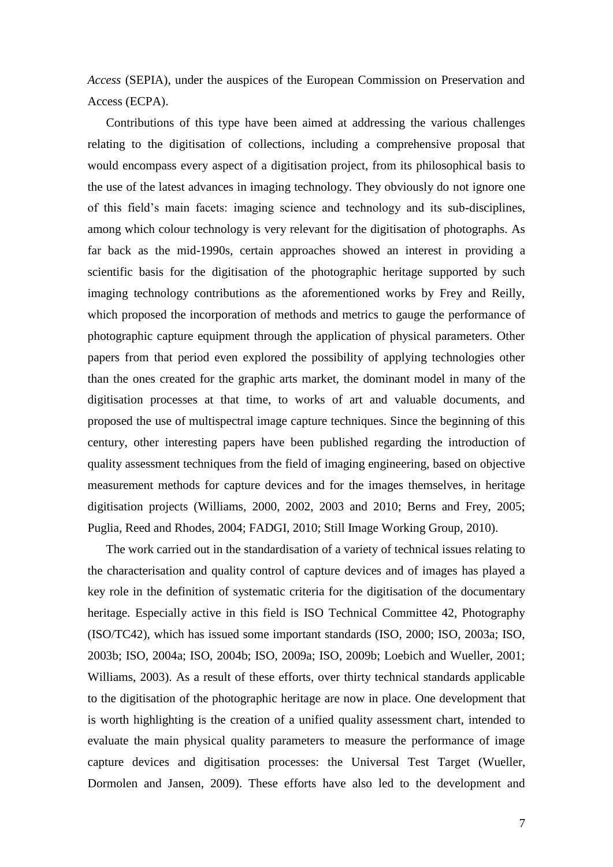*Access* (SEPIA), under the auspices of the European Commission on Preservation and Access (ECPA).

Contributions of this type have been aimed at addressing the various challenges relating to the digitisation of collections, including a comprehensive proposal that would encompass every aspect of a digitisation project, from its philosophical basis to the use of the latest advances in imaging technology. They obviously do not ignore one of this field's main facets: imaging science and technology and its sub-disciplines, among which colour technology is very relevant for the digitisation of photographs. As far back as the mid-1990s, certain approaches showed an interest in providing a scientific basis for the digitisation of the photographic heritage supported by such imaging technology contributions as the aforementioned works by Frey and Reilly, which proposed the incorporation of methods and metrics to gauge the performance of photographic capture equipment through the application of physical parameters. Other papers from that period even explored the possibility of applying technologies other than the ones created for the graphic arts market, the dominant model in many of the digitisation processes at that time, to works of art and valuable documents, and proposed the use of multispectral image capture techniques. Since the beginning of this century, other interesting papers have been published regarding the introduction of quality assessment techniques from the field of imaging engineering, based on objective measurement methods for capture devices and for the images themselves, in heritage digitisation projects (Williams, 2000, 2002, 2003 and 2010; Berns and Frey, 2005; Puglia, Reed and Rhodes, 2004; FADGI, 2010; Still Image Working Group, 2010).

The work carried out in the standardisation of a variety of technical issues relating to the characterisation and quality control of capture devices and of images has played a key role in the definition of systematic criteria for the digitisation of the documentary heritage. Especially active in this field is ISO Technical Committee 42, Photography (ISO/TC42), which has issued some important standards (ISO, 2000; ISO, 2003a; ISO, 2003b; ISO, 2004a; ISO, 2004b; ISO, 2009a; ISO, 2009b; Loebich and Wueller, 2001; Williams, 2003). As a result of these efforts, over thirty technical standards applicable to the digitisation of the photographic heritage are now in place. One development that is worth highlighting is the creation of a unified quality assessment chart, intended to evaluate the main physical quality parameters to measure the performance of image capture devices and digitisation processes: the Universal Test Target (Wueller, Dormolen and Jansen, 2009). These efforts have also led to the development and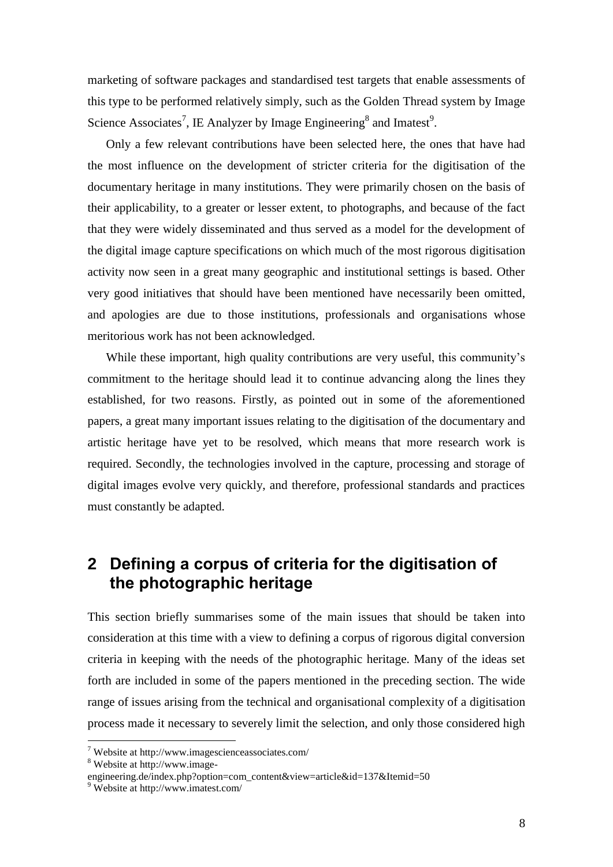marketing of software packages and standardised test targets that enable assessments of this type to be performed relatively simply, such as the Golden Thread system by Image Science Associates<sup>7</sup>, IE Analyzer by Image Engineering<sup>8</sup> and Imatest<sup>9</sup>.

Only a few relevant contributions have been selected here, the ones that have had the most influence on the development of stricter criteria for the digitisation of the documentary heritage in many institutions. They were primarily chosen on the basis of their applicability, to a greater or lesser extent, to photographs, and because of the fact that they were widely disseminated and thus served as a model for the development of the digital image capture specifications on which much of the most rigorous digitisation activity now seen in a great many geographic and institutional settings is based. Other very good initiatives that should have been mentioned have necessarily been omitted, and apologies are due to those institutions, professionals and organisations whose meritorious work has not been acknowledged.

While these important, high quality contributions are very useful, this community's commitment to the heritage should lead it to continue advancing along the lines they established, for two reasons. Firstly, as pointed out in some of the aforementioned papers, a great many important issues relating to the digitisation of the documentary and artistic heritage have yet to be resolved, which means that more research work is required. Secondly, the technologies involved in the capture, processing and storage of digital images evolve very quickly, and therefore, professional standards and practices must constantly be adapted.

## **2 Defining a corpus of criteria for the digitisation of the photographic heritage**

This section briefly summarises some of the main issues that should be taken into consideration at this time with a view to defining a corpus of rigorous digital conversion criteria in keeping with the needs of the photographic heritage. Many of the ideas set forth are included in some of the papers mentioned in the preceding section. The wide range of issues arising from the technical and organisational complexity of a digitisation process made it necessary to severely limit the selection, and only those considered high

1

<sup>7</sup> Website at http://www.imagescienceassociates.com/

<sup>8</sup> Website at http://www.image-

engineering.de/index.php?option=com\_content&view=article&id=137&Itemid=50

<sup>9</sup> Website at http://www.imatest.com/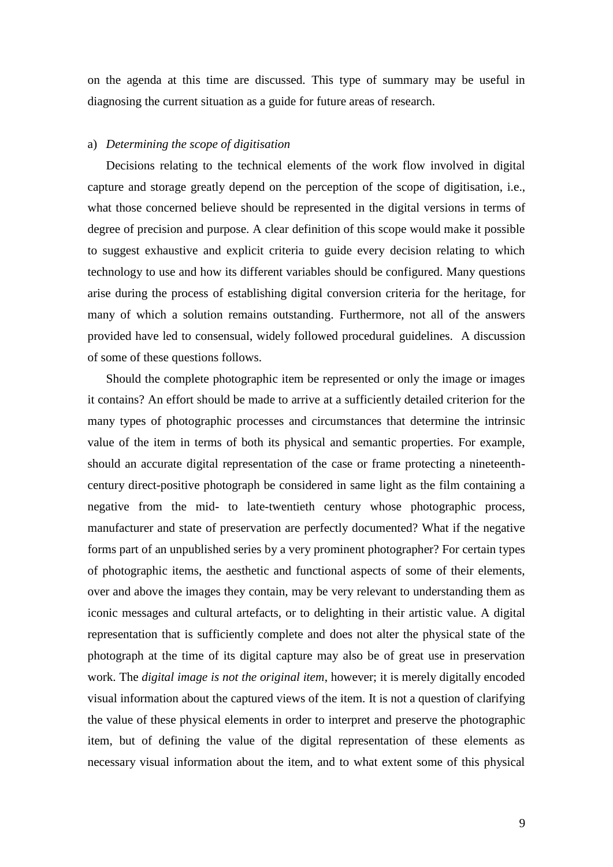on the agenda at this time are discussed. This type of summary may be useful in diagnosing the current situation as a guide for future areas of research.

#### a) *Determining the scope of digitisation*

Decisions relating to the technical elements of the work flow involved in digital capture and storage greatly depend on the perception of the scope of digitisation, i.e., what those concerned believe should be represented in the digital versions in terms of degree of precision and purpose. A clear definition of this scope would make it possible to suggest exhaustive and explicit criteria to guide every decision relating to which technology to use and how its different variables should be configured. Many questions arise during the process of establishing digital conversion criteria for the heritage, for many of which a solution remains outstanding. Furthermore, not all of the answers provided have led to consensual, widely followed procedural guidelines. A discussion of some of these questions follows.

Should the complete photographic item be represented or only the image or images it contains? An effort should be made to arrive at a sufficiently detailed criterion for the many types of photographic processes and circumstances that determine the intrinsic value of the item in terms of both its physical and semantic properties. For example, should an accurate digital representation of the case or frame protecting a nineteenthcentury direct-positive photograph be considered in same light as the film containing a negative from the mid- to late-twentieth century whose photographic process, manufacturer and state of preservation are perfectly documented? What if the negative forms part of an unpublished series by a very prominent photographer? For certain types of photographic items, the aesthetic and functional aspects of some of their elements, over and above the images they contain, may be very relevant to understanding them as iconic messages and cultural artefacts, or to delighting in their artistic value. A digital representation that is sufficiently complete and does not alter the physical state of the photograph at the time of its digital capture may also be of great use in preservation work. The *digital image is not the original item*, however; it is merely digitally encoded visual information about the captured views of the item. It is not a question of clarifying the value of these physical elements in order to interpret and preserve the photographic item, but of defining the value of the digital representation of these elements as necessary visual information about the item, and to what extent some of this physical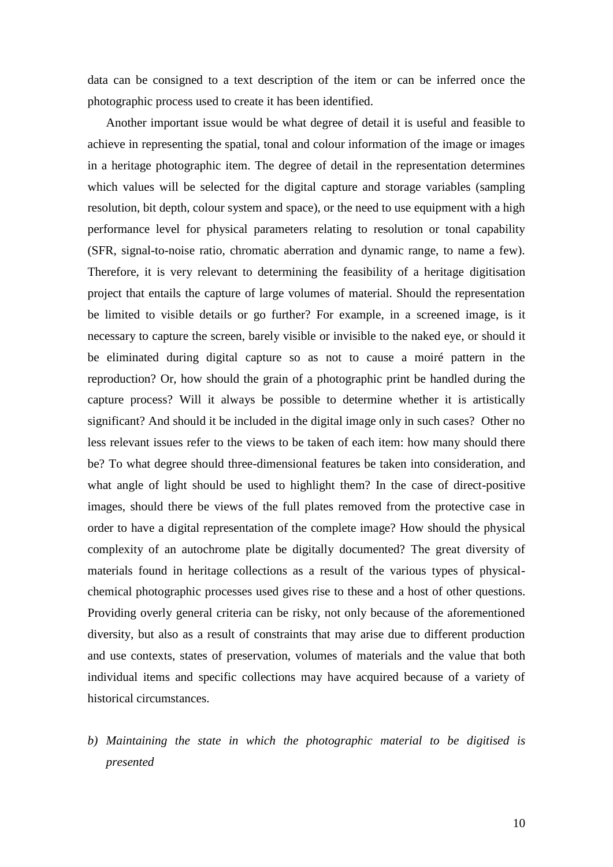data can be consigned to a text description of the item or can be inferred once the photographic process used to create it has been identified.

Another important issue would be what degree of detail it is useful and feasible to achieve in representing the spatial, tonal and colour information of the image or images in a heritage photographic item. The degree of detail in the representation determines which values will be selected for the digital capture and storage variables (sampling resolution, bit depth, colour system and space), or the need to use equipment with a high performance level for physical parameters relating to resolution or tonal capability (SFR, signal-to-noise ratio, chromatic aberration and dynamic range, to name a few). Therefore, it is very relevant to determining the feasibility of a heritage digitisation project that entails the capture of large volumes of material. Should the representation be limited to visible details or go further? For example, in a screened image, is it necessary to capture the screen, barely visible or invisible to the naked eye, or should it be eliminated during digital capture so as not to cause a moiré pattern in the reproduction? Or, how should the grain of a photographic print be handled during the capture process? Will it always be possible to determine whether it is artistically significant? And should it be included in the digital image only in such cases? Other no less relevant issues refer to the views to be taken of each item: how many should there be? To what degree should three-dimensional features be taken into consideration, and what angle of light should be used to highlight them? In the case of direct-positive images, should there be views of the full plates removed from the protective case in order to have a digital representation of the complete image? How should the physical complexity of an autochrome plate be digitally documented? The great diversity of materials found in heritage collections as a result of the various types of physicalchemical photographic processes used gives rise to these and a host of other questions. Providing overly general criteria can be risky, not only because of the aforementioned diversity, but also as a result of constraints that may arise due to different production and use contexts, states of preservation, volumes of materials and the value that both individual items and specific collections may have acquired because of a variety of historical circumstances.

*b) Maintaining the state in which the photographic material to be digitised is presented*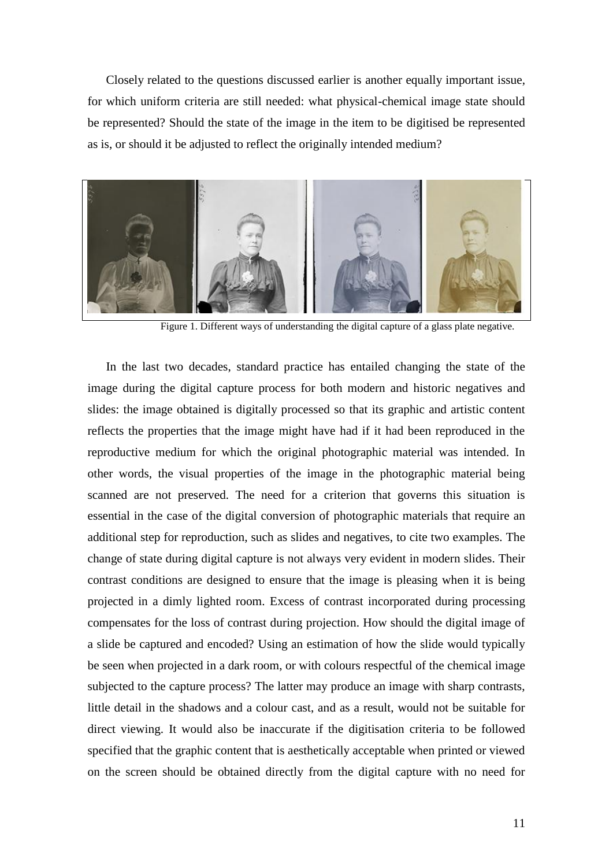Closely related to the questions discussed earlier is another equally important issue, for which uniform criteria are still needed: what physical-chemical image state should be represented? Should the state of the image in the item to be digitised be represented as is, or should it be adjusted to reflect the originally intended medium?



Figure 1. Different ways of understanding the digital capture of a glass plate negative.

In the last two decades, standard practice has entailed changing the state of the image during the digital capture process for both modern and historic negatives and slides: the image obtained is digitally processed so that its graphic and artistic content reflects the properties that the image might have had if it had been reproduced in the reproductive medium for which the original photographic material was intended. In other words, the visual properties of the image in the photographic material being scanned are not preserved. The need for a criterion that governs this situation is essential in the case of the digital conversion of photographic materials that require an additional step for reproduction, such as slides and negatives, to cite two examples. The change of state during digital capture is not always very evident in modern slides. Their contrast conditions are designed to ensure that the image is pleasing when it is being projected in a dimly lighted room. Excess of contrast incorporated during processing compensates for the loss of contrast during projection. How should the digital image of a slide be captured and encoded? Using an estimation of how the slide would typically be seen when projected in a dark room, or with colours respectful of the chemical image subjected to the capture process? The latter may produce an image with sharp contrasts, little detail in the shadows and a colour cast, and as a result, would not be suitable for direct viewing. It would also be inaccurate if the digitisation criteria to be followed specified that the graphic content that is aesthetically acceptable when printed or viewed on the screen should be obtained directly from the digital capture with no need for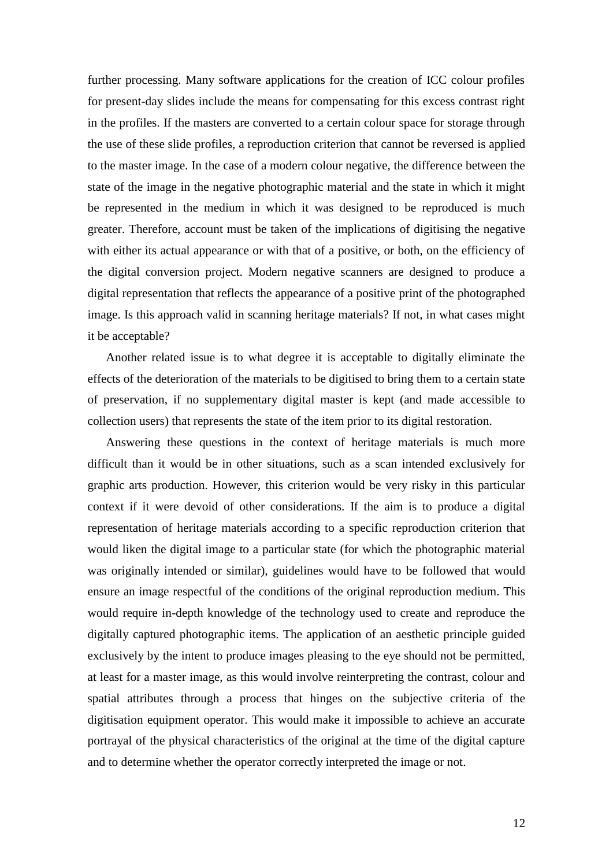further processing. Many software applications for the creation of ICC colour profiles for present-day slides include the means for compensating for this excess contrast right in the profiles. If the masters are converted to a certain colour space for storage through the use of these slide profiles, a reproduction criterion that cannot be reversed is applied to the master image. In the case of a modern colour negative, the difference between the state of the image in the negative photographic material and the state in which it might be represented in the medium in which it was designed to be reproduced is much greater. Therefore, account must be taken of the implications of digitising the negative with either its actual appearance or with that of a positive, or both, on the efficiency of the digital conversion project. Modern negative scanners are designed to produce a digital representation that reflects the appearance of a positive print of the photographed image. Is this approach valid in scanning heritage materials? If not, in what cases might it be acceptable?

Another related issue is to what degree it is acceptable to digitally eliminate the effects of the deterioration of the materials to be digitised to bring them to a certain state of preservation, if no supplementary digital master is kept (and made accessible to collection users) that represents the state of the item prior to its digital restoration.

Answering these questions in the context of heritage materials is much more difficult than it would be in other situations, such as a scan intended exclusively for graphic arts production. However, this criterion would be very risky in this particular context if it were devoid of other considerations. If the aim is to produce a digital representation of heritage materials according to a specific reproduction criterion that would liken the digital image to a particular state (for which the photographic material was originally intended or similar), guidelines would have to be followed that would ensure an image respectful of the conditions of the original reproduction medium. This would require in-depth knowledge of the technology used to create and reproduce the digitally captured photographic items. The application of an aesthetic principle guided exclusively by the intent to produce images pleasing to the eye should not be permitted, at least for a master image, as this would involve reinterpreting the contrast, colour and spatial attributes through a process that hinges on the subjective criteria of the digitisation equipment operator. This would make it impossible to achieve an accurate portrayal of the physical characteristics of the original at the time of the digital capture and to determine whether the operator correctly interpreted the image or not.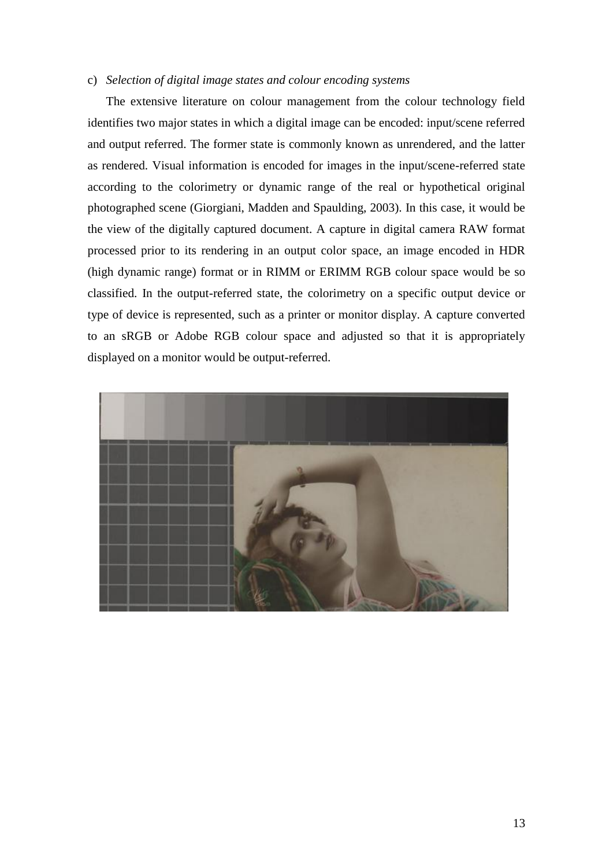#### c) *Selection of digital image states and colour encoding systems*

The extensive literature on colour management from the colour technology field identifies two major states in which a digital image can be encoded: input/scene referred and output referred. The former state is commonly known as unrendered, and the latter as rendered. Visual information is encoded for images in the input/scene-referred state according to the colorimetry or dynamic range of the real or hypothetical original photographed scene (Giorgiani, Madden and Spaulding, 2003). In this case, it would be the view of the digitally captured document. A capture in digital camera RAW format processed prior to its rendering in an output color space, an image encoded in HDR (high dynamic range) format or in RIMM or ERIMM RGB colour space would be so classified. In the output-referred state, the colorimetry on a specific output device or type of device is represented, such as a printer or monitor display. A capture converted to an sRGB or Adobe RGB colour space and adjusted so that it is appropriately displayed on a monitor would be output-referred.

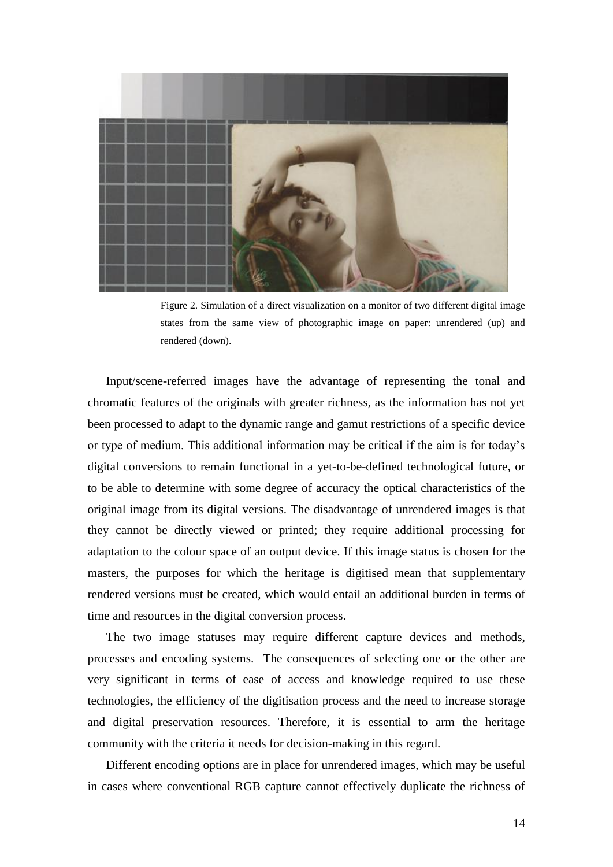

Figure 2. Simulation of a direct visualization on a monitor of two different digital image states from the same view of photographic image on paper: unrendered (up) and rendered (down).

Input/scene-referred images have the advantage of representing the tonal and chromatic features of the originals with greater richness, as the information has not yet been processed to adapt to the dynamic range and gamut restrictions of a specific device or type of medium. This additional information may be critical if the aim is for today's digital conversions to remain functional in a yet-to-be-defined technological future, or to be able to determine with some degree of accuracy the optical characteristics of the original image from its digital versions. The disadvantage of unrendered images is that they cannot be directly viewed or printed; they require additional processing for adaptation to the colour space of an output device. If this image status is chosen for the masters, the purposes for which the heritage is digitised mean that supplementary rendered versions must be created, which would entail an additional burden in terms of time and resources in the digital conversion process.

The two image statuses may require different capture devices and methods, processes and encoding systems. The consequences of selecting one or the other are very significant in terms of ease of access and knowledge required to use these technologies, the efficiency of the digitisation process and the need to increase storage and digital preservation resources. Therefore, it is essential to arm the heritage community with the criteria it needs for decision-making in this regard.

Different encoding options are in place for unrendered images, which may be useful in cases where conventional RGB capture cannot effectively duplicate the richness of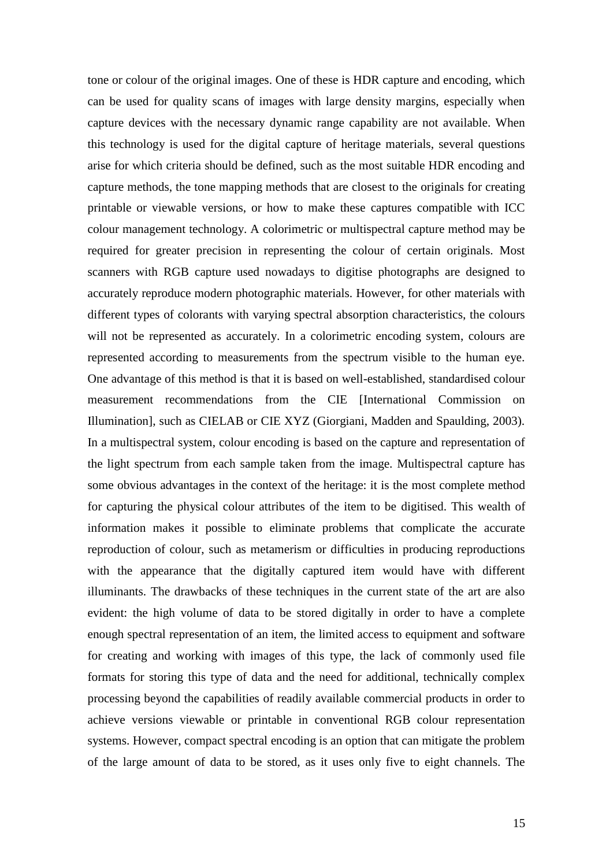tone or colour of the original images. One of these is HDR capture and encoding, which can be used for quality scans of images with large density margins, especially when capture devices with the necessary dynamic range capability are not available. When this technology is used for the digital capture of heritage materials, several questions arise for which criteria should be defined, such as the most suitable HDR encoding and capture methods, the tone mapping methods that are closest to the originals for creating printable or viewable versions, or how to make these captures compatible with ICC colour management technology. A colorimetric or multispectral capture method may be required for greater precision in representing the colour of certain originals. Most scanners with RGB capture used nowadays to digitise photographs are designed to accurately reproduce modern photographic materials. However, for other materials with different types of colorants with varying spectral absorption characteristics, the colours will not be represented as accurately. In a colorimetric encoding system, colours are represented according to measurements from the spectrum visible to the human eye. One advantage of this method is that it is based on well-established, standardised colour measurement recommendations from the CIE [International Commission on Illumination], such as CIELAB or CIE XYZ (Giorgiani, Madden and Spaulding, 2003). In a multispectral system, colour encoding is based on the capture and representation of the light spectrum from each sample taken from the image. Multispectral capture has some obvious advantages in the context of the heritage: it is the most complete method for capturing the physical colour attributes of the item to be digitised. This wealth of information makes it possible to eliminate problems that complicate the accurate reproduction of colour, such as metamerism or difficulties in producing reproductions with the appearance that the digitally captured item would have with different illuminants. The drawbacks of these techniques in the current state of the art are also evident: the high volume of data to be stored digitally in order to have a complete enough spectral representation of an item, the limited access to equipment and software for creating and working with images of this type, the lack of commonly used file formats for storing this type of data and the need for additional, technically complex processing beyond the capabilities of readily available commercial products in order to achieve versions viewable or printable in conventional RGB colour representation systems. However, compact spectral encoding is an option that can mitigate the problem of the large amount of data to be stored, as it uses only five to eight channels. The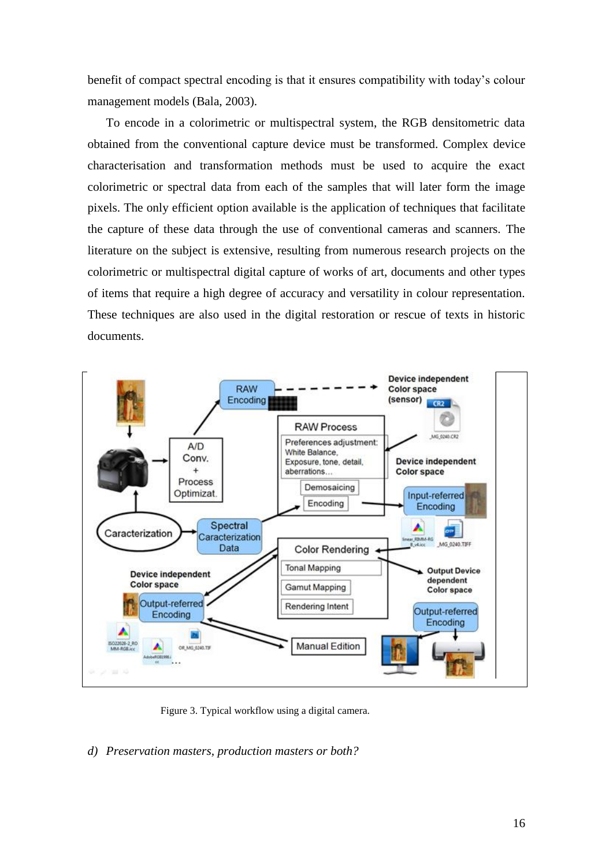benefit of compact spectral encoding is that it ensures compatibility with today's colour management models (Bala, 2003).

To encode in a colorimetric or multispectral system, the RGB densitometric data obtained from the conventional capture device must be transformed. Complex device characterisation and transformation methods must be used to acquire the exact colorimetric or spectral data from each of the samples that will later form the image pixels. The only efficient option available is the application of techniques that facilitate the capture of these data through the use of conventional cameras and scanners. The literature on the subject is extensive, resulting from numerous research projects on the colorimetric or multispectral digital capture of works of art, documents and other types of items that require a high degree of accuracy and versatility in colour representation. These techniques are also used in the digital restoration or rescue of texts in historic documents.



Figure 3. Typical workflow using a digital camera.

#### *d) Preservation masters, production masters or both?*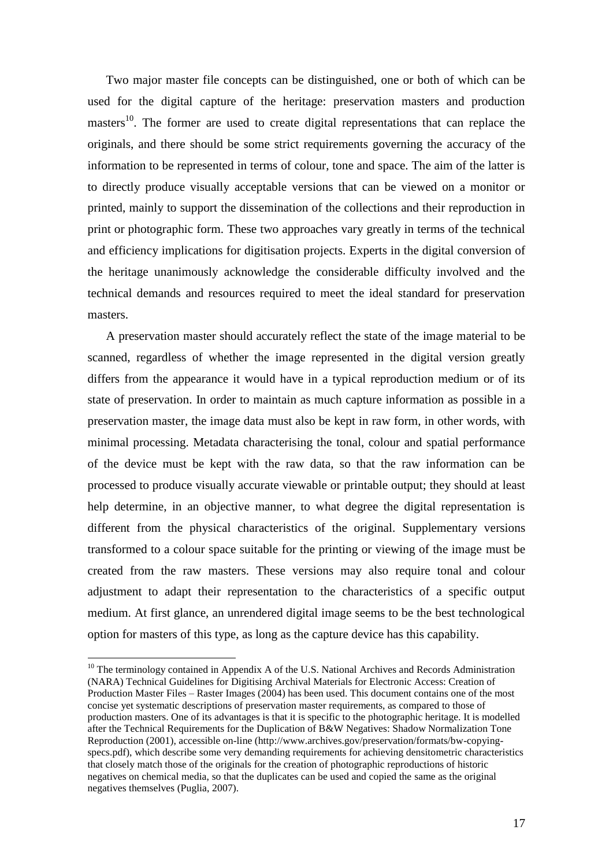Two major master file concepts can be distinguished, one or both of which can be used for the digital capture of the heritage: preservation masters and production masters<sup>10</sup>. The former are used to create digital representations that can replace the originals, and there should be some strict requirements governing the accuracy of the information to be represented in terms of colour, tone and space. The aim of the latter is to directly produce visually acceptable versions that can be viewed on a monitor or printed, mainly to support the dissemination of the collections and their reproduction in print or photographic form. These two approaches vary greatly in terms of the technical and efficiency implications for digitisation projects. Experts in the digital conversion of the heritage unanimously acknowledge the considerable difficulty involved and the technical demands and resources required to meet the ideal standard for preservation masters.

A preservation master should accurately reflect the state of the image material to be scanned, regardless of whether the image represented in the digital version greatly differs from the appearance it would have in a typical reproduction medium or of its state of preservation. In order to maintain as much capture information as possible in a preservation master, the image data must also be kept in raw form, in other words, with minimal processing. Metadata characterising the tonal, colour and spatial performance of the device must be kept with the raw data, so that the raw information can be processed to produce visually accurate viewable or printable output; they should at least help determine, in an objective manner, to what degree the digital representation is different from the physical characteristics of the original. Supplementary versions transformed to a colour space suitable for the printing or viewing of the image must be created from the raw masters. These versions may also require tonal and colour adjustment to adapt their representation to the characteristics of a specific output medium. At first glance, an unrendered digital image seems to be the best technological option for masters of this type, as long as the capture device has this capability.

1

 $10$  The terminology contained in Appendix A of the U.S. National Archives and Records Administration (NARA) Technical Guidelines for Digitising Archival Materials for Electronic Access: Creation of Production Master Files – Raster Images (2004) has been used. This document contains one of the most concise yet systematic descriptions of preservation master requirements, as compared to those of production masters. One of its advantages is that it is specific to the photographic heritage. It is modelled after the Technical Requirements for the Duplication of B&W Negatives: Shadow Normalization Tone Reproduction (2001), accessible on-line (http://www.archives.gov/preservation/formats/bw-copyingspecs.pdf), which describe some very demanding requirements for achieving densitometric characteristics that closely match those of the originals for the creation of photographic reproductions of historic negatives on chemical media, so that the duplicates can be used and copied the same as the original negatives themselves (Puglia, 2007).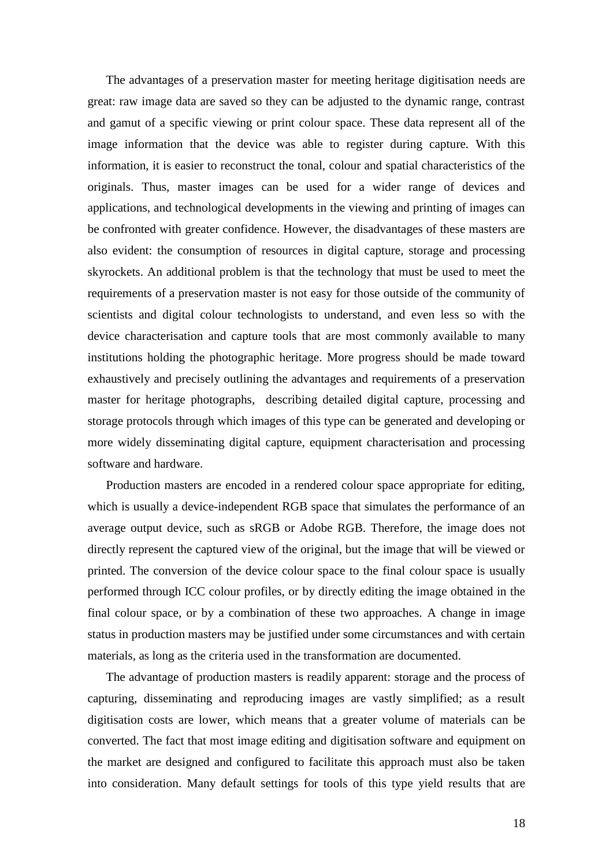The advantages of a preservation master for meeting heritage digitisation needs are great: raw image data are saved so they can be adjusted to the dynamic range, contrast and gamut of a specific viewing or print colour space. These data represent all of the image information that the device was able to register during capture. With this information, it is easier to reconstruct the tonal, colour and spatial characteristics of the originals. Thus, master images can be used for a wider range of devices and applications, and technological developments in the viewing and printing of images can be confronted with greater confidence. However, the disadvantages of these masters are also evident: the consumption of resources in digital capture, storage and processing skyrockets. An additional problem is that the technology that must be used to meet the requirements of a preservation master is not easy for those outside of the community of scientists and digital colour technologists to understand, and even less so with the device characterisation and capture tools that are most commonly available to many institutions holding the photographic heritage. More progress should be made toward exhaustively and precisely outlining the advantages and requirements of a preservation master for heritage photographs, describing detailed digital capture, processing and storage protocols through which images of this type can be generated and developing or more widely disseminating digital capture, equipment characterisation and processing software and hardware.

Production masters are encoded in a rendered colour space appropriate for editing, which is usually a device-independent RGB space that simulates the performance of an average output device, such as sRGB or Adobe RGB. Therefore, the image does not directly represent the captured view of the original, but the image that will be viewed or printed. The conversion of the device colour space to the final colour space is usually performed through ICC colour profiles, or by directly editing the image obtained in the final colour space, or by a combination of these two approaches. A change in image status in production masters may be justified under some circumstances and with certain materials, as long as the criteria used in the transformation are documented.

The advantage of production masters is readily apparent: storage and the process of capturing, disseminating and reproducing images are vastly simplified; as a result digitisation costs are lower, which means that a greater volume of materials can be converted. The fact that most image editing and digitisation software and equipment on the market are designed and configured to facilitate this approach must also be taken into consideration. Many default settings for tools of this type yield results that are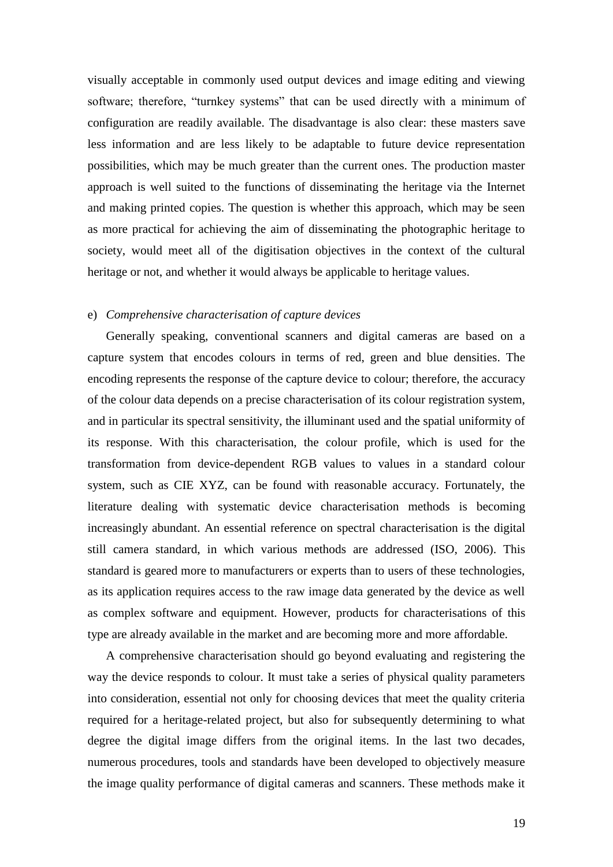visually acceptable in commonly used output devices and image editing and viewing software; therefore, "turnkey systems" that can be used directly with a minimum of configuration are readily available. The disadvantage is also clear: these masters save less information and are less likely to be adaptable to future device representation possibilities, which may be much greater than the current ones. The production master approach is well suited to the functions of disseminating the heritage via the Internet and making printed copies. The question is whether this approach, which may be seen as more practical for achieving the aim of disseminating the photographic heritage to society, would meet all of the digitisation objectives in the context of the cultural heritage or not, and whether it would always be applicable to heritage values.

#### e) *Comprehensive characterisation of capture devices*

Generally speaking, conventional scanners and digital cameras are based on a capture system that encodes colours in terms of red, green and blue densities. The encoding represents the response of the capture device to colour; therefore, the accuracy of the colour data depends on a precise characterisation of its colour registration system, and in particular its spectral sensitivity, the illuminant used and the spatial uniformity of its response. With this characterisation, the colour profile, which is used for the transformation from device-dependent RGB values to values in a standard colour system, such as CIE XYZ, can be found with reasonable accuracy. Fortunately, the literature dealing with systematic device characterisation methods is becoming increasingly abundant. An essential reference on spectral characterisation is the digital still camera standard, in which various methods are addressed (ISO, 2006). This standard is geared more to manufacturers or experts than to users of these technologies, as its application requires access to the raw image data generated by the device as well as complex software and equipment. However, products for characterisations of this type are already available in the market and are becoming more and more affordable.

A comprehensive characterisation should go beyond evaluating and registering the way the device responds to colour. It must take a series of physical quality parameters into consideration, essential not only for choosing devices that meet the quality criteria required for a heritage-related project, but also for subsequently determining to what degree the digital image differs from the original items. In the last two decades, numerous procedures, tools and standards have been developed to objectively measure the image quality performance of digital cameras and scanners. These methods make it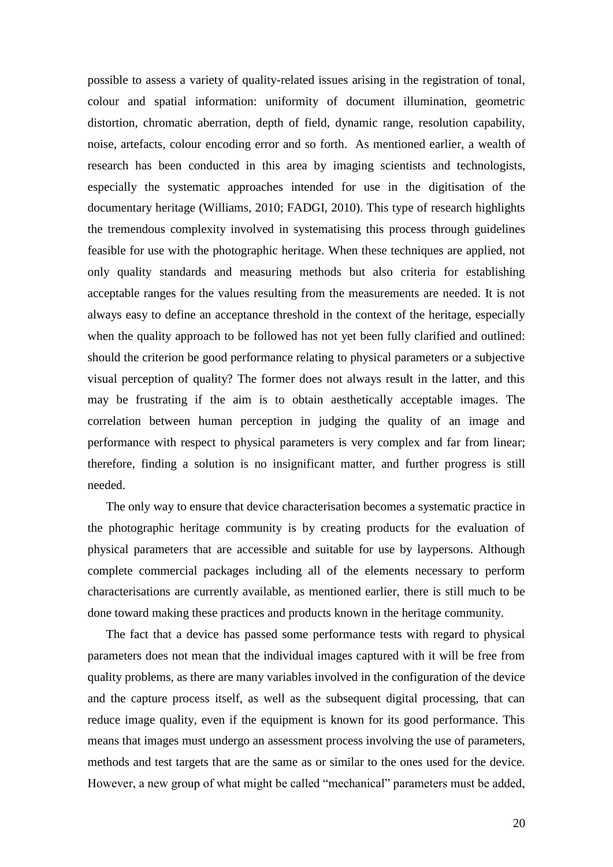possible to assess a variety of quality-related issues arising in the registration of tonal, colour and spatial information: uniformity of document illumination, geometric distortion, chromatic aberration, depth of field, dynamic range, resolution capability, noise, artefacts, colour encoding error and so forth. As mentioned earlier, a wealth of research has been conducted in this area by imaging scientists and technologists, especially the systematic approaches intended for use in the digitisation of the documentary heritage (Williams, 2010; FADGI, 2010). This type of research highlights the tremendous complexity involved in systematising this process through guidelines feasible for use with the photographic heritage. When these techniques are applied, not only quality standards and measuring methods but also criteria for establishing acceptable ranges for the values resulting from the measurements are needed. It is not always easy to define an acceptance threshold in the context of the heritage, especially when the quality approach to be followed has not yet been fully clarified and outlined: should the criterion be good performance relating to physical parameters or a subjective visual perception of quality? The former does not always result in the latter, and this may be frustrating if the aim is to obtain aesthetically acceptable images. The correlation between human perception in judging the quality of an image and performance with respect to physical parameters is very complex and far from linear; therefore, finding a solution is no insignificant matter, and further progress is still needed.

The only way to ensure that device characterisation becomes a systematic practice in the photographic heritage community is by creating products for the evaluation of physical parameters that are accessible and suitable for use by laypersons. Although complete commercial packages including all of the elements necessary to perform characterisations are currently available, as mentioned earlier, there is still much to be done toward making these practices and products known in the heritage community.

The fact that a device has passed some performance tests with regard to physical parameters does not mean that the individual images captured with it will be free from quality problems, as there are many variables involved in the configuration of the device and the capture process itself, as well as the subsequent digital processing, that can reduce image quality, even if the equipment is known for its good performance. This means that images must undergo an assessment process involving the use of parameters, methods and test targets that are the same as or similar to the ones used for the device. However, a new group of what might be called "mechanical" parameters must be added,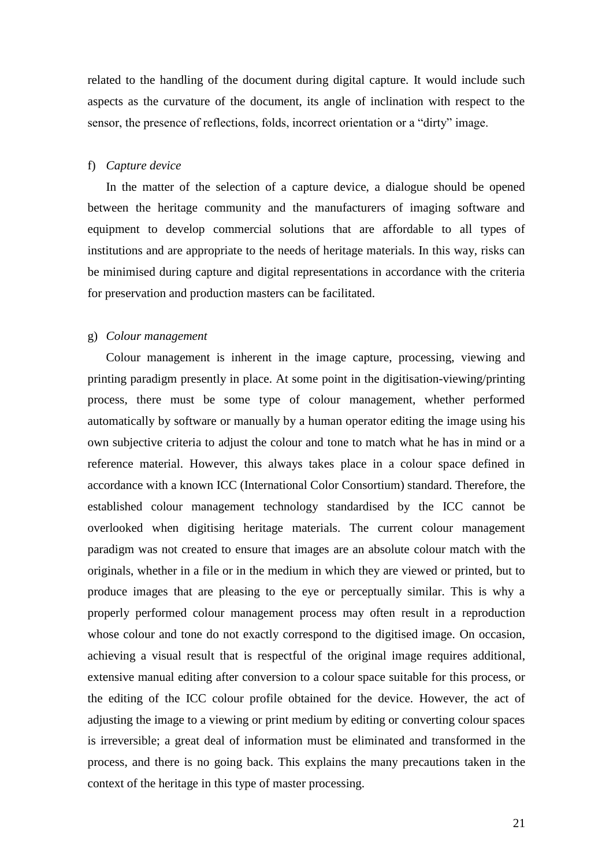related to the handling of the document during digital capture. It would include such aspects as the curvature of the document, its angle of inclination with respect to the sensor, the presence of reflections, folds, incorrect orientation or a "dirty" image.

#### f) *Capture device*

In the matter of the selection of a capture device, a dialogue should be opened between the heritage community and the manufacturers of imaging software and equipment to develop commercial solutions that are affordable to all types of institutions and are appropriate to the needs of heritage materials. In this way, risks can be minimised during capture and digital representations in accordance with the criteria for preservation and production masters can be facilitated.

#### g) *Colour management*

Colour management is inherent in the image capture, processing, viewing and printing paradigm presently in place. At some point in the digitisation-viewing/printing process, there must be some type of colour management, whether performed automatically by software or manually by a human operator editing the image using his own subjective criteria to adjust the colour and tone to match what he has in mind or a reference material. However, this always takes place in a colour space defined in accordance with a known ICC (International Color Consortium) standard. Therefore, the established colour management technology standardised by the ICC cannot be overlooked when digitising heritage materials. The current colour management paradigm was not created to ensure that images are an absolute colour match with the originals, whether in a file or in the medium in which they are viewed or printed, but to produce images that are pleasing to the eye or perceptually similar. This is why a properly performed colour management process may often result in a reproduction whose colour and tone do not exactly correspond to the digitised image. On occasion, achieving a visual result that is respectful of the original image requires additional, extensive manual editing after conversion to a colour space suitable for this process, or the editing of the ICC colour profile obtained for the device. However, the act of adjusting the image to a viewing or print medium by editing or converting colour spaces is irreversible; a great deal of information must be eliminated and transformed in the process, and there is no going back. This explains the many precautions taken in the context of the heritage in this type of master processing.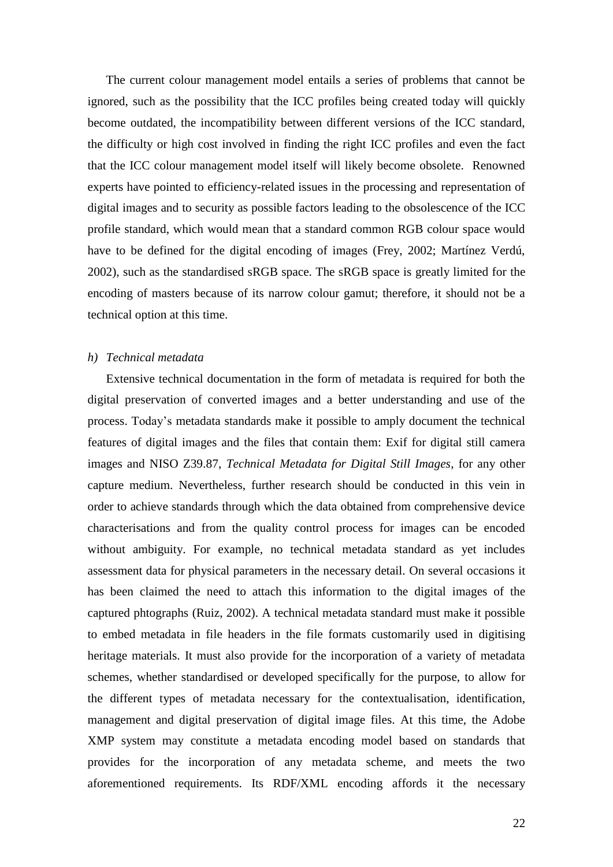The current colour management model entails a series of problems that cannot be ignored, such as the possibility that the ICC profiles being created today will quickly become outdated, the incompatibility between different versions of the ICC standard, the difficulty or high cost involved in finding the right ICC profiles and even the fact that the ICC colour management model itself will likely become obsolete. Renowned experts have pointed to efficiency-related issues in the processing and representation of digital images and to security as possible factors leading to the obsolescence of the ICC profile standard, which would mean that a standard common RGB colour space would have to be defined for the digital encoding of images (Frey, 2002; Martínez Verdú, 2002), such as the standardised sRGB space. The sRGB space is greatly limited for the encoding of masters because of its narrow colour gamut; therefore, it should not be a technical option at this time.

### *h) Technical metadata*

Extensive technical documentation in the form of metadata is required for both the digital preservation of converted images and a better understanding and use of the process. Today's metadata standards make it possible to amply document the technical features of digital images and the files that contain them: Exif for digital still camera images and NISO Z39.87, *Technical Metadata for Digital Still Images*, for any other capture medium. Nevertheless, further research should be conducted in this vein in order to achieve standards through which the data obtained from comprehensive device characterisations and from the quality control process for images can be encoded without ambiguity. For example, no technical metadata standard as yet includes assessment data for physical parameters in the necessary detail. On several occasions it has been claimed the need to attach this information to the digital images of the captured phtographs (Ruiz, 2002). A technical metadata standard must make it possible to embed metadata in file headers in the file formats customarily used in digitising heritage materials. It must also provide for the incorporation of a variety of metadata schemes, whether standardised or developed specifically for the purpose, to allow for the different types of metadata necessary for the contextualisation, identification, management and digital preservation of digital image files. At this time, the Adobe XMP system may constitute a metadata encoding model based on standards that provides for the incorporation of any metadata scheme, and meets the two aforementioned requirements. Its RDF/XML encoding affords it the necessary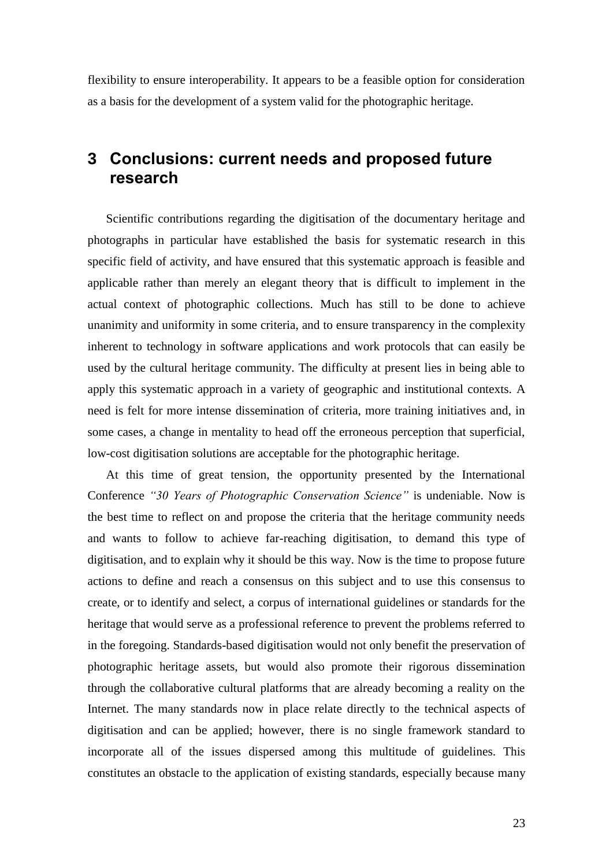flexibility to ensure interoperability. It appears to be a feasible option for consideration as a basis for the development of a system valid for the photographic heritage.

## **3 Conclusions: current needs and proposed future research**

Scientific contributions regarding the digitisation of the documentary heritage and photographs in particular have established the basis for systematic research in this specific field of activity, and have ensured that this systematic approach is feasible and applicable rather than merely an elegant theory that is difficult to implement in the actual context of photographic collections. Much has still to be done to achieve unanimity and uniformity in some criteria, and to ensure transparency in the complexity inherent to technology in software applications and work protocols that can easily be used by the cultural heritage community. The difficulty at present lies in being able to apply this systematic approach in a variety of geographic and institutional contexts. A need is felt for more intense dissemination of criteria, more training initiatives and, in some cases, a change in mentality to head off the erroneous perception that superficial, low-cost digitisation solutions are acceptable for the photographic heritage.

At this time of great tension, the opportunity presented by the International Conference *"30 Years of Photographic Conservation Science"* is undeniable. Now is the best time to reflect on and propose the criteria that the heritage community needs and wants to follow to achieve far-reaching digitisation, to demand this type of digitisation, and to explain why it should be this way. Now is the time to propose future actions to define and reach a consensus on this subject and to use this consensus to create, or to identify and select, a corpus of international guidelines or standards for the heritage that would serve as a professional reference to prevent the problems referred to in the foregoing. Standards-based digitisation would not only benefit the preservation of photographic heritage assets, but would also promote their rigorous dissemination through the collaborative cultural platforms that are already becoming a reality on the Internet. The many standards now in place relate directly to the technical aspects of digitisation and can be applied; however, there is no single framework standard to incorporate all of the issues dispersed among this multitude of guidelines. This constitutes an obstacle to the application of existing standards, especially because many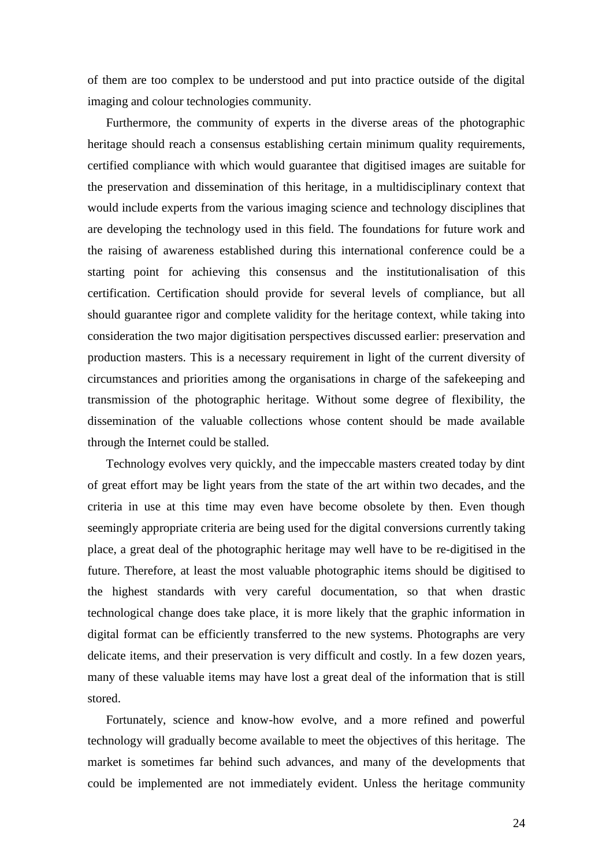of them are too complex to be understood and put into practice outside of the digital imaging and colour technologies community.

Furthermore, the community of experts in the diverse areas of the photographic heritage should reach a consensus establishing certain minimum quality requirements, certified compliance with which would guarantee that digitised images are suitable for the preservation and dissemination of this heritage, in a multidisciplinary context that would include experts from the various imaging science and technology disciplines that are developing the technology used in this field. The foundations for future work and the raising of awareness established during this international conference could be a starting point for achieving this consensus and the institutionalisation of this certification. Certification should provide for several levels of compliance, but all should guarantee rigor and complete validity for the heritage context, while taking into consideration the two major digitisation perspectives discussed earlier: preservation and production masters. This is a necessary requirement in light of the current diversity of circumstances and priorities among the organisations in charge of the safekeeping and transmission of the photographic heritage. Without some degree of flexibility, the dissemination of the valuable collections whose content should be made available through the Internet could be stalled.

Technology evolves very quickly, and the impeccable masters created today by dint of great effort may be light years from the state of the art within two decades, and the criteria in use at this time may even have become obsolete by then. Even though seemingly appropriate criteria are being used for the digital conversions currently taking place, a great deal of the photographic heritage may well have to be re-digitised in the future. Therefore, at least the most valuable photographic items should be digitised to the highest standards with very careful documentation, so that when drastic technological change does take place, it is more likely that the graphic information in digital format can be efficiently transferred to the new systems. Photographs are very delicate items, and their preservation is very difficult and costly. In a few dozen years, many of these valuable items may have lost a great deal of the information that is still stored.

Fortunately, science and know-how evolve, and a more refined and powerful technology will gradually become available to meet the objectives of this heritage. The market is sometimes far behind such advances, and many of the developments that could be implemented are not immediately evident. Unless the heritage community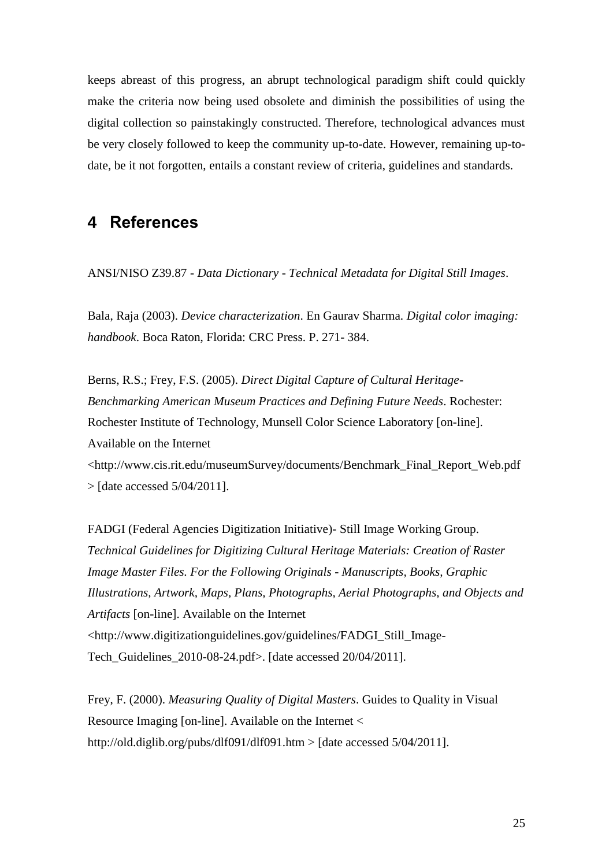keeps abreast of this progress, an abrupt technological paradigm shift could quickly make the criteria now being used obsolete and diminish the possibilities of using the digital collection so painstakingly constructed. Therefore, technological advances must be very closely followed to keep the community up-to-date. However, remaining up-todate, be it not forgotten, entails a constant review of criteria, guidelines and standards.

# **4 References**

ANSI/NISO Z39.87 - *Data Dictionary - Technical Metadata for Digital Still Images*.

Bala, Raja (2003). *Device characterization*. En Gaurav Sharma. *Digital color imaging: handbook*. Boca Raton, Florida: CRC Press. P. 271- 384.

Berns, R.S.; Frey, F.S. (2005). *Direct Digital Capture of Cultural Heritage-Benchmarking American Museum Practices and Defining Future Needs*. Rochester: Rochester Institute of Technology, Munsell Color Science Laboratory [on-line]. Available on the Internet <http://www.cis.rit.edu/museumSurvey/documents/Benchmark\_Final\_Report\_Web.pdf > [date accessed 5/04/2011].

FADGI (Federal Agencies Digitization Initiative)- Still Image Working Group. *Technical Guidelines for Digitizing Cultural Heritage Materials: Creation of Raster Image Master Files. For the Following Originals - Manuscripts, Books, Graphic Illustrations, Artwork, Maps, Plans, Photographs, Aerial Photographs, and Objects and Artifacts* [on-line]. Available on the Internet <http://www.digitizationguidelines.gov/guidelines/FADGI\_Still\_Image-Tech Guidelines 2010-08-24.pdf>. [date accessed 20/04/2011].

Frey, F. (2000). *Measuring Quality of Digital Masters*. Guides to Quality in Visual Resource Imaging [on-line]. Available on the Internet < http://old.diglib.org/pubs/dlf091/dlf091.htm > [date accessed 5/04/2011].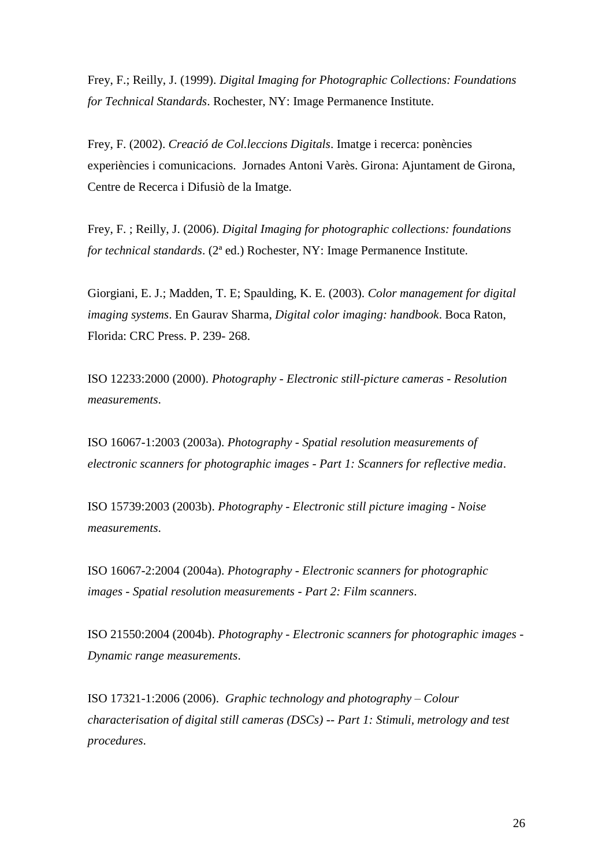Frey, F.; Reilly, J. (1999). *Digital Imaging for Photographic Collections: Foundations for Technical Standards*. Rochester, NY: Image Permanence Institute.

Frey, F. (2002). *Creació de Col.leccions Digitals*. Imatge i recerca: ponències experiències i comunicacions. Jornades Antoni Varès. Girona: Ajuntament de Girona, Centre de Recerca i Difusiò de la Imatge.

Frey, F. ; Reilly, J. (2006). *Digital Imaging for photographic collections: foundations for technical standards*. (2ª ed.) Rochester, NY: Image Permanence Institute.

Giorgiani, E. J.; Madden, T. E; Spaulding, K. E. (2003). *Color management for digital imaging systems*. En Gaurav Sharma, *Digital color imaging: handbook*. Boca Raton, Florida: CRC Press. P. 239- 268.

ISO 12233:2000 (2000). *Photography - Electronic still-picture cameras - Resolution measurements*.

ISO 16067-1:2003 (2003a). *Photography - Spatial resolution measurements of electronic scanners for photographic images - Part 1: Scanners for reflective media*.

ISO 15739:2003 (2003b). *Photography - Electronic still picture imaging - Noise measurements*.

ISO 16067-2:2004 (2004a). *Photography - Electronic scanners for photographic images - Spatial resolution measurements - Part 2: Film scanners*.

ISO 21550:2004 (2004b). *Photography - Electronic scanners for photographic images - Dynamic range measurements*.

ISO 17321-1:2006 (2006). *Graphic technology and photography – Colour characterisation of digital still cameras (DSCs) -- Part 1: Stimuli, metrology and test procedures*.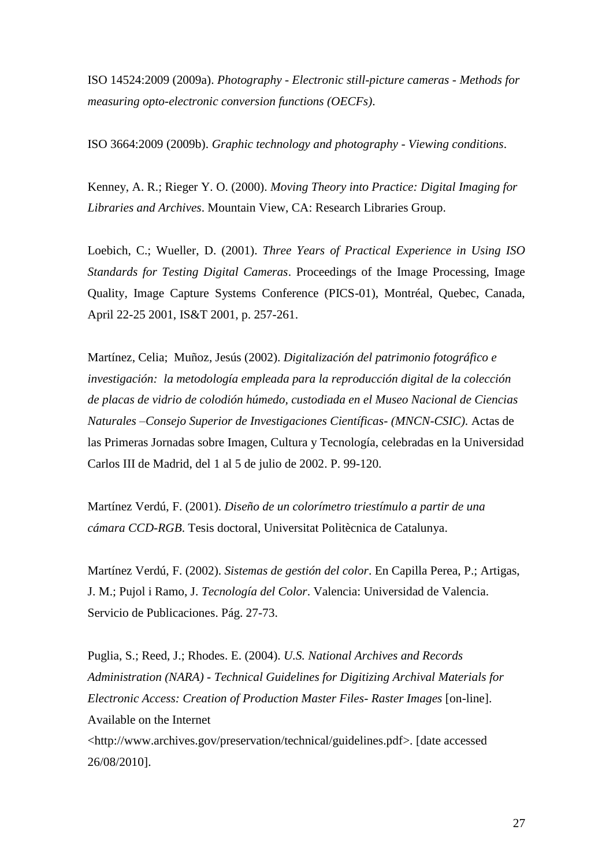ISO 14524:2009 (2009a). *Photography - Electronic still-picture cameras - Methods for measuring opto-electronic conversion functions (OECFs)*.

ISO 3664:2009 (2009b). *Graphic technology and photography - Viewing conditions*.

Kenney, A. R.; Rieger Y. O. (2000). *Moving Theory into Practice: Digital Imaging for Libraries and Archives*. Mountain View, CA: Research Libraries Group.

Loebich, C.; Wueller, D. (2001). *Three Years of Practical Experience in Using ISO Standards for Testing Digital Cameras*. Proceedings of the Image Processing, Image Quality, Image Capture Systems Conference (PICS-01), Montréal, Quebec, Canada, April 22-25 2001, IS&T 2001, p. 257-261.

Martínez, Celia; Muñoz, Jesús (2002). *Digitalización del patrimonio fotográfico e investigación: la metodología empleada para la reproducción digital de la colección de placas de vidrio de colodión húmedo, custodiada en el Museo Nacional de Ciencias Naturales –Consejo Superior de Investigaciones Científicas- (MNCN-CSIC)*. Actas de las Primeras Jornadas sobre Imagen, Cultura y Tecnología, celebradas en la Universidad Carlos III de Madrid, del 1 al 5 de julio de 2002. P. 99-120.

Martínez Verdú, F. (2001). *Diseño de un colorímetro triestímulo a partir de una cámara CCD-RGB*. Tesis doctoral, Universitat Politècnica de Catalunya.

Martínez Verdú, F. (2002). *Sistemas de gestión del color*. En Capilla Perea, P.; Artigas, J. M.; Pujol i Ramo, J. *Tecnología del Color*. Valencia: Universidad de Valencia. Servicio de Publicaciones. Pág. 27-73.

Puglia, S.; Reed, J.; Rhodes. E. (2004). *U.S. National Archives and Records Administration (NARA) - Technical Guidelines for Digitizing Archival Materials for Electronic Access: Creation of Production Master Files- Raster Images* [on-line]. Available on the Internet

<http://www.archives.gov/preservation/technical/guidelines.pdf>. [date accessed 26/08/2010].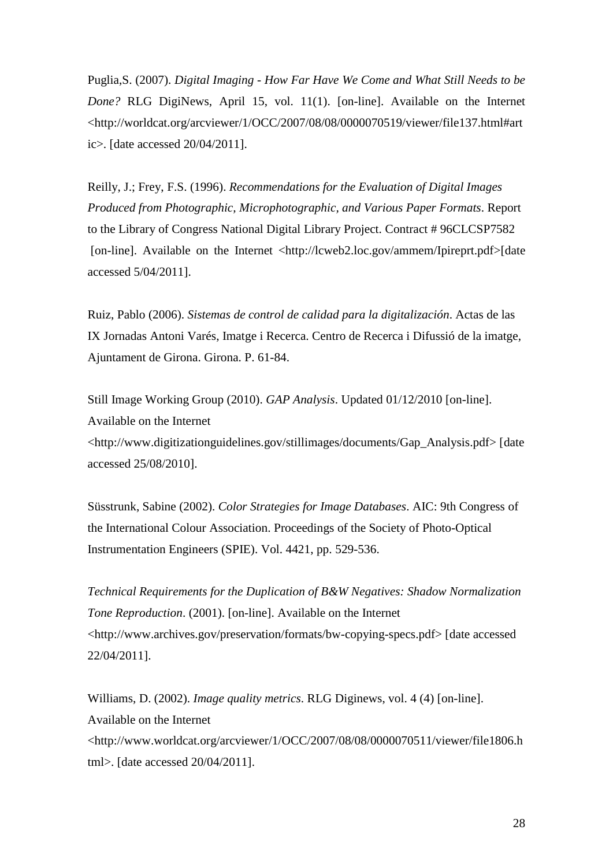Puglia,S. (2007). *Digital Imaging - How Far Have We Come and What Still Needs to be Done?* RLG DigiNews, April 15, vol. 11(1). [on-line]. Available on the Internet <http://worldcat.org/arcviewer/1/OCC/2007/08/08/0000070519/viewer/file137.html#art ic>. [date accessed 20/04/2011].

Reilly, J.; Frey, F.S. (1996). *Recommendations for the Evaluation of Digital Images Produced from Photographic, Microphotographic, and Various Paper Formats*. Report to the Library of Congress National Digital Library Project. Contract # 96CLCSP7582 [on-line]. Available on the Internet <http://lcweb2.loc.gov/ammem/Ipireprt.pdf>[date accessed 5/04/2011].

Ruiz, Pablo (2006). *Sistemas de control de calidad para la digitalización*. Actas de las IX Jornadas Antoni Varés, Imatge i Recerca. Centro de Recerca i Difussió de la imatge, Ajuntament de Girona. Girona. P. 61-84.

Still Image Working Group (2010). *GAP Analysis*. Updated 01/12/2010 [on-line]. Available on the Internet <http://www.digitizationguidelines.gov/stillimages/documents/Gap\_Analysis.pdf> [date accessed 25/08/2010].

Süsstrunk, Sabine (2002). *Color Strategies for Image Databases*. AIC: 9th Congress of the International Colour Association. Proceedings of the Society of Photo-Optical Instrumentation Engineers (SPIE). Vol. 4421, pp. 529-536.

*Technical Requirements for the Duplication of B&W Negatives: Shadow Normalization Tone Reproduction*. (2001). [on-line]. Available on the Internet <http://www.archives.gov/preservation/formats/bw-copying-specs.pdf> [date accessed 22/04/2011].

Williams, D. (2002). *Image quality metrics*. RLG Diginews, vol. 4 (4) [on-line]. Available on the Internet <http://www.worldcat.org/arcviewer/1/OCC/2007/08/08/0000070511/viewer/file1806.h tml>. [date accessed 20/04/2011].